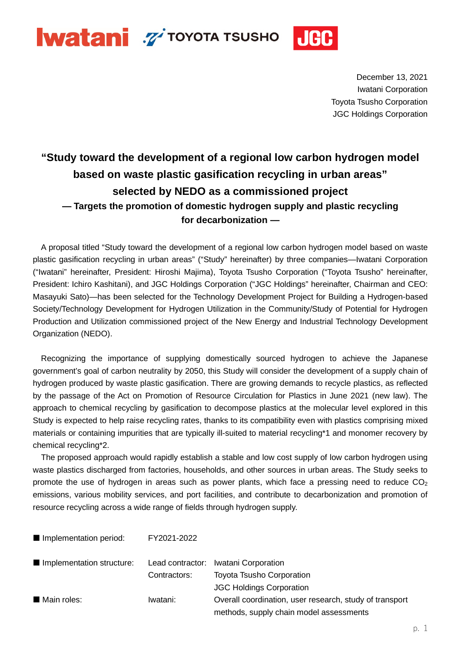

December 13, 2021 Iwatani Corporation Toyota Tsusho Corporation JGC Holdings Corporation

## **"Study toward the development of a regional low carbon hydrogen model based on waste plastic gasification recycling in urban areas" selected by NEDO as a commissioned project — Targets the promotion of domestic hydrogen supply and plastic recycling for decarbonization —**

A proposal titled "Study toward the development of a regional low carbon hydrogen model based on waste plastic gasification recycling in urban areas" ("Study" hereinafter) by three companies—Iwatani Corporation ("Iwatani" hereinafter, President: Hiroshi Majima), Toyota Tsusho Corporation ("Toyota Tsusho" hereinafter, President: Ichiro Kashitani), and JGC Holdings Corporation ("JGC Holdings" hereinafter, Chairman and CEO: Masayuki Sato)—has been selected for the Technology Development Project for Building a Hydrogen-based Society/Technology Development for Hydrogen Utilization in the Community/Study of Potential for Hydrogen Production and Utilization commissioned project of the New Energy and Industrial Technology Development Organization (NEDO).

Recognizing the importance of supplying domestically sourced hydrogen to achieve the Japanese government's goal of carbon neutrality by 2050, this Study will consider the development of a supply chain of hydrogen produced by waste plastic gasification. There are growing demands to recycle plastics, as reflected by the passage of the Act on Promotion of Resource Circulation for Plastics in June 2021 (new law). The approach to chemical recycling by gasification to decompose plastics at the molecular level explored in this Study is expected to help raise recycling rates, thanks to its compatibility even with plastics comprising mixed materials or containing impurities that are typically ill-suited to material recycling\*1 and monomer recovery by chemical recycling\*2.

The proposed approach would rapidly establish a stable and low cost supply of low carbon hydrogen using waste plastics discharged from factories, households, and other sources in urban areas. The Study seeks to promote the use of hydrogen in areas such as power plants, which face a pressing need to reduce  $CO<sub>2</sub>$ emissions, various mobility services, and port facilities, and contribute to decarbonization and promotion of resource recycling across a wide range of fields through hydrogen supply.

■ Implementation period: FY2021-2022

| Implementation structure: |              | Lead contractor: Iwatani Corporation                    |
|---------------------------|--------------|---------------------------------------------------------|
|                           | Contractors: | <b>Toyota Tsusho Corporation</b>                        |
|                           |              | <b>JGC Holdings Corporation</b>                         |
| Main roles:               | Iwatani:     | Overall coordination, user research, study of transport |
|                           |              | methods, supply chain model assessments                 |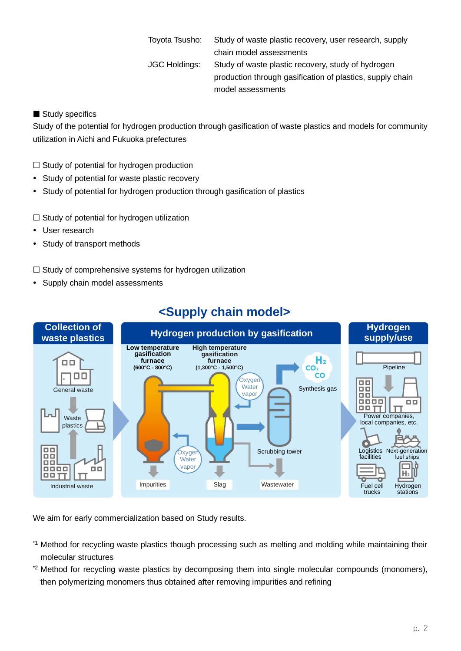Toyota Tsusho: Study of waste plastic recovery, user research, supply chain model assessments JGC Holdings: Study of waste plastic recovery, study of hydrogen production through gasification of plastics, supply chain model assessments

## Study specifics

Study of the potential for hydrogen production through gasification of waste plastics and models for community utilization in Aichi and Fukuoka prefectures

- $\Box$  Study of potential for hydrogen production
- Study of potential for waste plastic recovery
- Study of potential for hydrogen production through gasification of plastics
- $\Box$  Study of potential for hydrogen utilization
- User research
- Study of transport methods

## $\Box$  Study of comprehensive systems for hydrogen utilization

• Supply chain model assessments



## **<Supply chain model>**

We aim for early commercialization based on Study results.

- \*1 Method for recycling waste plastics though processing such as melting and molding while maintaining their molecular structures
- \*2 Method for recycling waste plastics by decomposing them into single molecular compounds (monomers), then polymerizing monomers thus obtained after removing impurities and refining